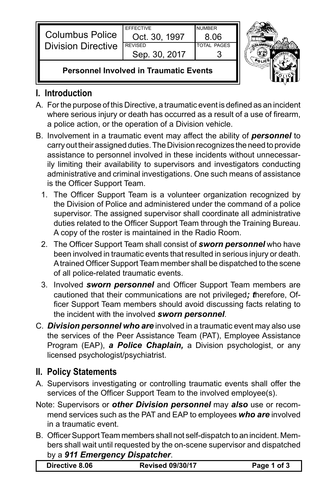| <b>Columbus Police</b><br><b>Division Directive</b> | <b>FFFFCTIVE</b> | <b>NUMBER</b>      |  |
|-----------------------------------------------------|------------------|--------------------|--|
|                                                     | Oct. 30, 1997    | 8.06               |  |
|                                                     | <b>REVISED</b>   | <b>TOTAL PAGES</b> |  |
|                                                     | Sep. 30, 2017    |                    |  |
|                                                     |                  |                    |  |



## **Personnel Involved in Traumatic Events**

## **I. Introduction**

- A. For the purpose of this Directive, a traumatic event is defined as an incident where serious injury or death has occurred as a result of a use of firearm, a police action, or the operation of a Division vehicle.
- B. Involvement in a traumatic event may affect the ability of *personnel* to carry out their assigned duties. The Division recognizes the need to provide assistance to personnel involved in these incidents without unnecessarily limiting their availability to supervisors and investigators conducting administrative and criminal investigations. One such means of assistance is the Officer Support Team.
	- 1. The Officer Support Team is a volunteer organization recognized by the Division of Police and administered under the command of a police supervisor. The assigned supervisor shall coordinate all administrative duties related to the Officer Support Team through the Training Bureau. A copy of the roster is maintained in the Radio Room.
	- 2. The Officer Support Team shall consist of **sworn personnel** who have been involved in traumatic events that resulted in serious injury or death. Atrained Officer Support Team member shall be dispatched to the scene of all police-related traumatic events.
	- 3. Involved *sworn personnel* and Officer Support Team members are cautioned that their communications are not privileged*; t*herefore, Officer Support Team members should avoid discussing facts relating to the incident with the involved *sworn personnel*.
- C. *Division personnel who are* involved in a traumatic event may also use the services of the Peer Assistance Team (PAT), Employee Assistance Program (EAP), *a Police Chaplain,* a Division psychologist, or any licensed psychologist/psychiatrist.

## **II. Policy Statements**

- A. Supervisors investigating or controlling traumatic events shall offer the services of the Officer Support Team to the involved employee(s).
- Note: Supervisors or *other Division personnel* may *also* use or recommend services such as the PAT and EAP to employees *who are* involved in a traumatic event.
- B. Officer Support Team members shall not self-dispatch to an incident. Members shall wait until requested by the on-scene supervisor and dispatched by a *911 Emergency Dispatcher*.

| Directive 8.06 |  | <b>Revised 09/30/17</b> | Page 1 of 3 |
|----------------|--|-------------------------|-------------|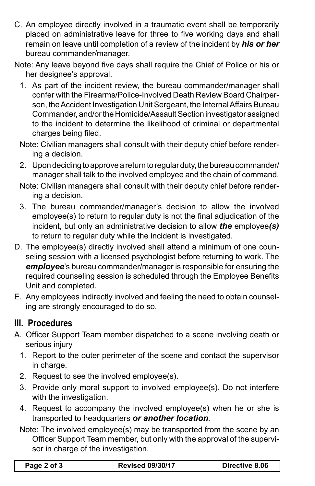- C. An employee directly involved in a traumatic event shall be temporarily placed on administrative leave for three to five working days and shall remain on leave until completion of a review of the incident by *his or her* bureau commander/manager.
- Note: Any leave beyond five days shall require the Chief of Police or his or her designee's approval.
	- 1. As part of the incident review, the bureau commander/manager shall confer with the Firearms/Police-Involved Death Review Board Chairperson, the Accident Investigation Unit Sergeant, the Internal Affairs Bureau Commander, and/or the Homicide/Assault Section investigator assigned to the incident to determine the likelihood of criminal or departmental charges being filed.
	- Note: Civilian managers shall consult with their deputy chief before rendering a decision.
	- 2. Upon deciding to approve a return to regular duty, the bureau commander/ manager shall talk to the involved employee and the chain of command.
	- Note: Civilian managers shall consult with their deputy chief before rendering a decision.
	- 3. The bureau commander/manager's decision to allow the involved employee(s) to return to regular duty is not the final adjudication of the incident, but only an administrative decision to allow *the* employee*(s)* to return to regular duty while the incident is investigated.
- D. The employee(s) directly involved shall attend a minimum of one counseling session with a licensed psychologist before returning to work. The *employee*'s bureau commander/manager is responsible for ensuring the required counseling session is scheduled through the Employee Benefits Unit and completed.
- E. Any employees indirectly involved and feeling the need to obtain counseling are strongly encouraged to do so.

## **III. Procedures**

- A. Officer Support Team member dispatched to a scene involving death or serious injury
	- 1. Report to the outer perimeter of the scene and contact the supervisor in charge.
	- 2. Request to see the involved employee(s).
	- 3. Provide only moral support to involved employee(s). Do not interfere with the investigation.
	- 4. Request to accompany the involved employee(s) when he or she is transported to headquarters *or another location*.
	- Note: The involved employee(s) may be transported from the scene by an Officer Support Team member, but only with the approval of the supervisor in charge of the investigation.